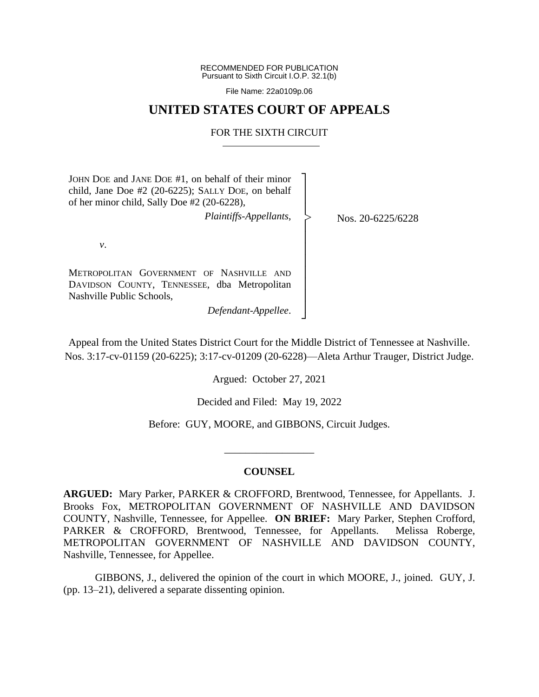RECOMMENDED FOR PUBLICATION Pursuant to Sixth Circuit I.O.P. 32.1(b)

File Name: 22a0109p.06

# **UNITED STATES COURT OF APPEALS**

## FOR THE SIXTH CIRCUIT

┐ │ │ │ │ │ │ │ │ │ │ │ ┘

|<br>|<br>|

JOHN DOE and JANE DOE #1, on behalf of their minor child, Jane Doe #2 (20-6225); SALLY DOE, on behalf of her minor child, Sally Doe #2 (20-6228),

*Plaintiffs-Appellants*,

Nos. 20-6225/6228

*v*.

METROPOLITAN GOVERNMENT OF NASHVILLE AND DAVIDSON COUNTY, TENNESSEE, dba Metropolitan Nashville Public Schools,

*Defendant-Appellee*.

Appeal from the United States District Court for the Middle District of Tennessee at Nashville. Nos. 3:17-cv-01159 (20-6225); 3:17-cv-01209 (20-6228)—Aleta Arthur Trauger, District Judge.

Argued: October 27, 2021

Decided and Filed: May 19, 2022

Before: GUY, MOORE, and GIBBONS, Circuit Judges.

\_\_\_\_\_\_\_\_\_\_\_\_\_\_\_\_\_

## **COUNSEL**

**ARGUED:** Mary Parker, PARKER & CROFFORD, Brentwood, Tennessee, for Appellants. J. Brooks Fox, METROPOLITAN GOVERNMENT OF NASHVILLE AND DAVIDSON COUNTY, Nashville, Tennessee, for Appellee. **ON BRIEF:** Mary Parker, Stephen Crofford, PARKER & CROFFORD, Brentwood, Tennessee, for Appellants. Melissa Roberge, METROPOLITAN GOVERNMENT OF NASHVILLE AND DAVIDSON COUNTY, Nashville, Tennessee, for Appellee.

GIBBONS, J., delivered the opinion of the court in which MOORE, J., joined. GUY, J. (pp. 13–21), delivered a separate dissenting opinion.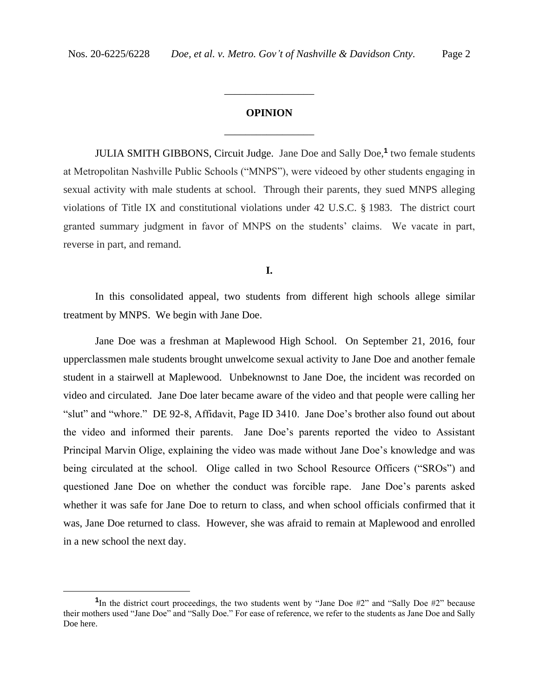# **OPINION** \_\_\_\_\_\_\_\_\_\_\_\_\_\_\_\_\_

\_\_\_\_\_\_\_\_\_\_\_\_\_\_\_\_\_

JULIA SMITH GIBBONS, Circuit Judge. Jane Doe and Sally Doe,**<sup>1</sup>** two female students at Metropolitan Nashville Public Schools ("MNPS"), were videoed by other students engaging in sexual activity with male students at school. Through their parents, they sued MNPS alleging violations of Title IX and constitutional violations under 42 U.S.C. § 1983. The district court granted summary judgment in favor of MNPS on the students' claims. We vacate in part, reverse in part, and remand.

**I.**

In this consolidated appeal, two students from different high schools allege similar treatment by MNPS. We begin with Jane Doe.

Jane Doe was a freshman at Maplewood High School. On September 21, 2016, four upperclassmen male students brought unwelcome sexual activity to Jane Doe and another female student in a stairwell at Maplewood. Unbeknownst to Jane Doe, the incident was recorded on video and circulated. Jane Doe later became aware of the video and that people were calling her "slut" and "whore." DE 92-8, Affidavit, Page ID 3410. Jane Doe's brother also found out about the video and informed their parents. Jane Doe's parents reported the video to Assistant Principal Marvin Olige, explaining the video was made without Jane Doe's knowledge and was being circulated at the school. Olige called in two School Resource Officers ("SROs") and questioned Jane Doe on whether the conduct was forcible rape. Jane Doe's parents asked whether it was safe for Jane Doe to return to class, and when school officials confirmed that it was, Jane Doe returned to class.However, she was afraid to remain at Maplewood and enrolled in a new school the next day.

<sup>&</sup>lt;sup>1</sup>In the district court proceedings, the two students went by "Jane Doe #2" and "Sally Doe #2" because their mothers used "Jane Doe" and "Sally Doe." For ease of reference, we refer to the students as Jane Doe and Sally Doe here.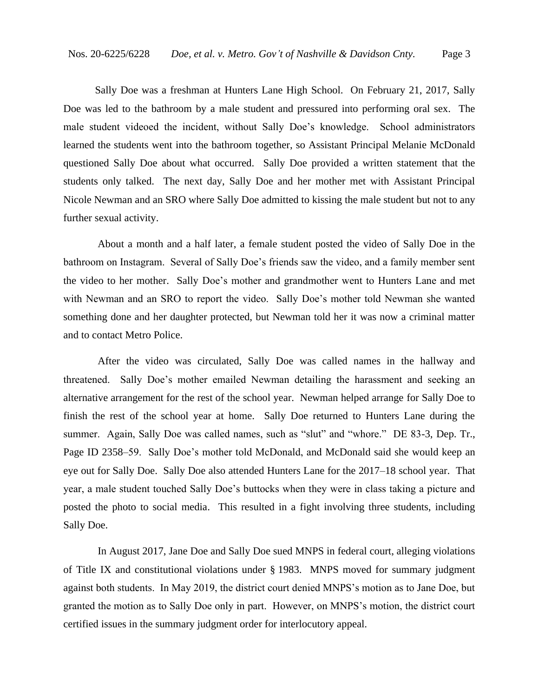Sally Doe was a freshman at Hunters Lane High School. On February 21, 2017, Sally Doe was led to the bathroom by a male student and pressured into performing oral sex. The male student videoed the incident, without Sally Doe's knowledge. School administrators learned the students went into the bathroom together, so Assistant Principal Melanie McDonald questioned Sally Doe about what occurred.Sally Doe provided a written statement that the students only talked. The next day, Sally Doe and her mother met with Assistant Principal Nicole Newman and an SRO where Sally Doe admitted to kissing the male student but not to any further sexual activity.

About a month and a half later, a female student posted the video of Sally Doe in the bathroom on Instagram. Several of Sally Doe's friends saw the video, and a family member sent the video to her mother. Sally Doe's mother and grandmother went to Hunters Lane and met with Newman and an SRO to report the video. Sally Doe's mother told Newman she wanted something done and her daughter protected, but Newman told her it was now a criminal matter and to contact Metro Police.

After the video was circulated, Sally Doe was called names in the hallway and threatened. Sally Doe's mother emailed Newman detailing the harassment and seeking an alternative arrangement for the rest of the school year. Newman helped arrange for Sally Doe to finish the rest of the school year at home. Sally Doe returned to Hunters Lane during the summer. Again, Sally Doe was called names, such as "slut" and "whore." DE 83-3, Dep. Tr., Page ID 2358–59. Sally Doe's mother told McDonald, and McDonald said she would keep an eye out for Sally Doe. Sally Doe also attended Hunters Lane for the 2017–18 school year. That year, a male student touched Sally Doe's buttocks when they were in class taking a picture and posted the photo to social media. This resulted in a fight involving three students, including Sally Doe.

In August 2017, Jane Doe and Sally Doe sued MNPS in federal court, alleging violations of Title IX and constitutional violations under § 1983. MNPS moved for summary judgment against both students. In May 2019, the district court denied MNPS's motion as to Jane Doe, but granted the motion as to Sally Doe only in part. However, on MNPS's motion, the district court certified issues in the summary judgment order for interlocutory appeal.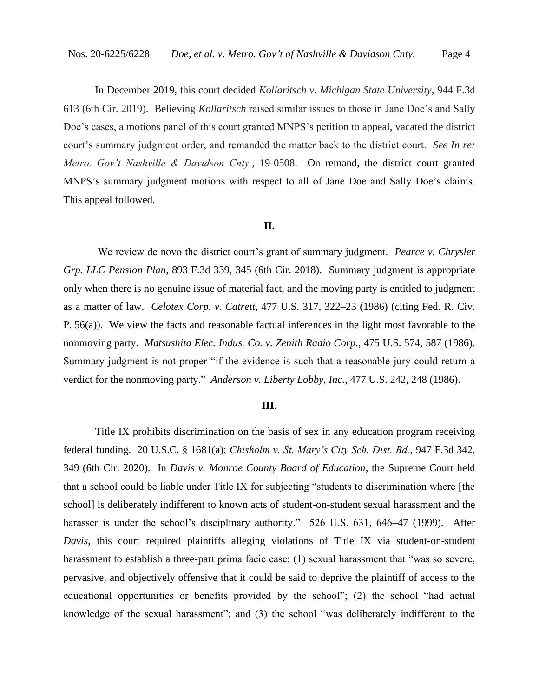In December 2019, this court decided *Kollaritsch v. Michigan State University*, 944 F.3d 613 (6th Cir. 2019). Believing *Kollaritsch* raised similar issues to those in Jane Doe's and Sally Doe's cases, a motions panel of this court granted MNPS's petition to appeal, vacated the district court's summary judgment order, and remanded the matter back to the district court. *See In re: Metro. Gov't Nashville & Davidson Cnty.*, 19-0508. On remand, the district court granted MNPS's summary judgment motions with respect to all of Jane Doe and Sally Doe's claims. This appeal followed.

#### **II.**

We review de novo the district court's grant of summary judgment. *Pearce v. Chrysler Grp. LLC Pension Plan*, 893 F.3d 339, 345 (6th Cir. 2018). Summary judgment is appropriate only when there is no genuine issue of material fact, and the moving party is entitled to judgment as a matter of law. *Celotex Corp. v. Catrett*, 477 U.S. 317, 322–23 (1986) (citing Fed. R. Civ. P. 56(a)). We view the facts and reasonable factual inferences in the light most favorable to the nonmoving party. *Matsushita Elec. Indus. Co. v. Zenith Radio Corp.*, 475 U.S. 574, 587 (1986). Summary judgment is not proper "if the evidence is such that a reasonable jury could return a verdict for the nonmoving party." *Anderson v. Liberty Lobby, Inc.*, 477 U.S. 242, 248 (1986).

#### **III.**

Title IX prohibits discrimination on the basis of sex in any education program receiving federal funding. 20 U.S.C. § 1681(a); *Chisholm v. St. Mary's City Sch. Dist. Bd.*, 947 F.3d 342, 349 (6th Cir. 2020). In *Davis v. Monroe County Board of Education*, the Supreme Court held that a school could be liable under Title IX for subjecting "students to discrimination where [the school] is deliberately indifferent to known acts of student-on-student sexual harassment and the harasser is under the school's disciplinary authority." 526 U.S. 631, 646–47 (1999). After *Davis*, this court required plaintiffs alleging violations of Title IX via student-on-student harassment to establish a three-part prima facie case: (1) sexual harassment that "was so severe, pervasive, and objectively offensive that it could be said to deprive the plaintiff of access to the educational opportunities or benefits provided by the school"; (2) the school "had actual knowledge of the sexual harassment"; and (3) the school "was deliberately indifferent to the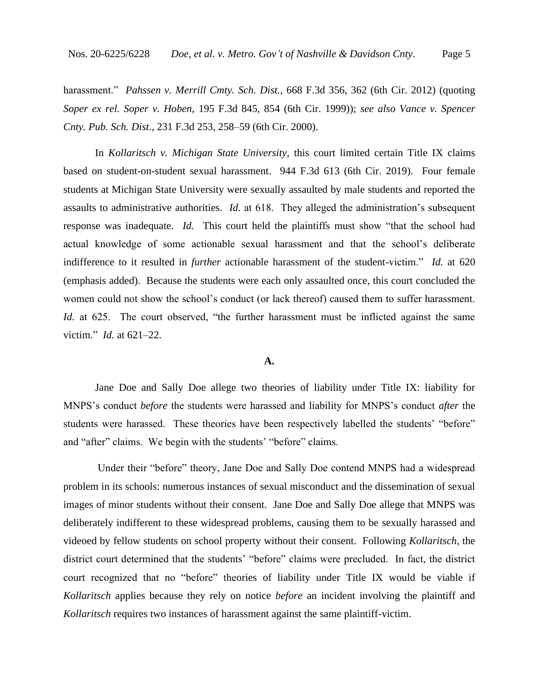harassment." *Pahssen v. Merrill Cmty. Sch. Dist.*, 668 F.3d 356, 362 (6th Cir. 2012) (quoting *Soper ex rel. Soper v. Hoben*, 195 F.3d 845, 854 (6th Cir. 1999)); *see also Vance v. Spencer Cnty. Pub. Sch. Dist*., 231 F.3d 253, 258–59 (6th Cir. 2000).

In *Kollaritsch v. Michigan State University*, this court limited certain Title IX claims based on student-on-student sexual harassment. 944 F.3d 613 (6th Cir. 2019). Four female students at Michigan State University were sexually assaulted by male students and reported the assaults to administrative authorities. *Id.* at 618. They alleged the administration's subsequent response was inadequate. *Id.* This court held the plaintiffs must show "that the school had actual knowledge of some actionable sexual harassment and that the school's deliberate indifference to it resulted in *further* actionable harassment of the student-victim." *Id.* at 620 (emphasis added). Because the students were each only assaulted once, this court concluded the women could not show the school's conduct (or lack thereof) caused them to suffer harassment. *Id.* at 625. The court observed, "the further harassment must be inflicted against the same victim." *Id.* at 621–22.

#### **A.**

Jane Doe and Sally Doe allege two theories of liability under Title IX: liability for MNPS's conduct *before* the students were harassed and liability for MNPS's conduct *after* the students were harassed. These theories have been respectively labelled the students' "before" and "after" claims. We begin with the students' "before" claims.

Under their "before" theory, Jane Doe and Sally Doe contend MNPS had a widespread problem in its schools: numerous instances of sexual misconduct and the dissemination of sexual images of minor students without their consent. Jane Doe and Sally Doe allege that MNPS was deliberately indifferent to these widespread problems, causing them to be sexually harassed and videoed by fellow students on school property without their consent. Following *Kollaritsch*, the district court determined that the students' "before" claims were precluded. In fact, the district court recognized that no "before" theories of liability under Title IX would be viable if *Kollaritsch* applies because they rely on notice *before* an incident involving the plaintiff and *Kollaritsch* requires two instances of harassment against the same plaintiff-victim.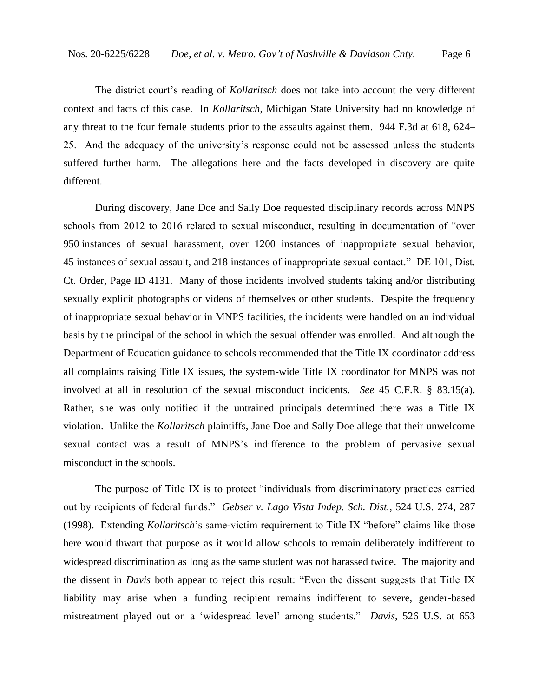The district court's reading of *Kollaritsch* does not take into account the very different context and facts of this case. In *Kollaritsch*, Michigan State University had no knowledge of any threat to the four female students prior to the assaults against them. 944 F.3d at 618, 624– 25. And the adequacy of the university's response could not be assessed unless the students suffered further harm. The allegations here and the facts developed in discovery are quite different.

During discovery, Jane Doe and Sally Doe requested disciplinary records across MNPS schools from 2012 to 2016 related to sexual misconduct, resulting in documentation of "over 950 instances of sexual harassment, over 1200 instances of inappropriate sexual behavior, 45 instances of sexual assault, and 218 instances of inappropriate sexual contact." DE 101, Dist. Ct. Order, Page ID 4131. Many of those incidents involved students taking and/or distributing sexually explicit photographs or videos of themselves or other students. Despite the frequency of inappropriate sexual behavior in MNPS facilities, the incidents were handled on an individual basis by the principal of the school in which the sexual offender was enrolled. And although the Department of Education guidance to schools recommended that the Title IX coordinator address all complaints raising Title IX issues, the system-wide Title IX coordinator for MNPS was not involved at all in resolution of the sexual misconduct incidents. *See* 45 C.F.R. § 83.15(a). Rather, she was only notified if the untrained principals determined there was a Title IX violation. Unlike the *Kollaritsch* plaintiffs, Jane Doe and Sally Doe allege that their unwelcome sexual contact was a result of MNPS's indifference to the problem of pervasive sexual misconduct in the schools.

The purpose of Title IX is to protect "individuals from discriminatory practices carried out by recipients of federal funds." *Gebser v. Lago Vista Indep. Sch. Dist.*, 524 U.S. 274, 287 (1998). Extending *Kollaritsch*'s same-victim requirement to Title IX "before" claims like those here would thwart that purpose as it would allow schools to remain deliberately indifferent to widespread discrimination as long as the same student was not harassed twice. The majority and the dissent in *Davis* both appear to reject this result: "Even the dissent suggests that Title IX liability may arise when a funding recipient remains indifferent to severe, gender-based mistreatment played out on a 'widespread level' among students." *Davis*, 526 U.S. at 653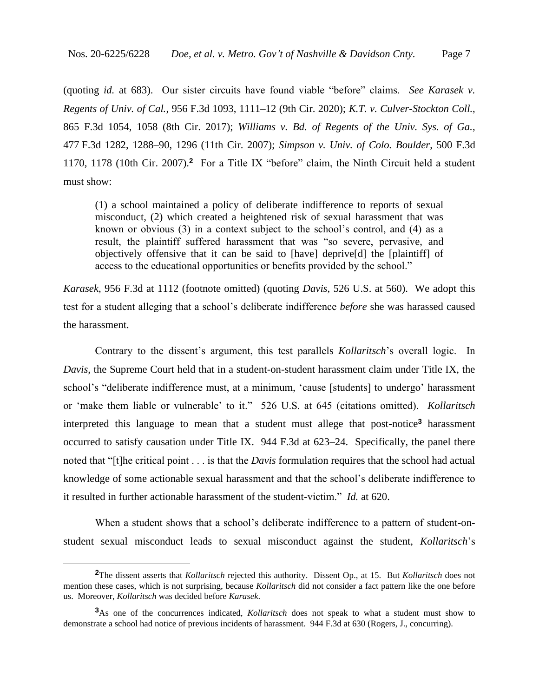(quoting *id.* at 683). Our sister circuits have found viable "before" claims. *See Karasek v. Regents of Univ. of Cal.*, 956 F.3d 1093, 1111–12 (9th Cir. 2020); *K.T. v. Culver-Stockton Coll.*, 865 F.3d 1054, 1058 (8th Cir. 2017); *Williams v. Bd. of Regents of the Univ. Sys. of Ga.*, 477 F.3d 1282, 1288–90, 1296 (11th Cir. 2007); *Simpson v. Univ. of Colo. Boulder*, 500 F.3d 1170, 1178 (10th Cir. 2007).**<sup>2</sup>** For a Title IX "before" claim, the Ninth Circuit held a student must show:

(1) a school maintained a policy of deliberate indifference to reports of sexual misconduct, (2) which created a heightened risk of sexual harassment that was known or obvious (3) in a context subject to the school's control, and (4) as a result, the plaintiff suffered harassment that was "so severe, pervasive, and objectively offensive that it can be said to [have] deprive[d] the [plaintiff] of access to the educational opportunities or benefits provided by the school."

*Karasek*, 956 F.3d at 1112 (footnote omitted) (quoting *Davis*, 526 U.S. at 560). We adopt this test for a student alleging that a school's deliberate indifference *before* she was harassed caused the harassment.

Contrary to the dissent's argument, this test parallels *Kollaritsch*'s overall logic. In *Davis*, the Supreme Court held that in a student-on-student harassment claim under Title IX, the school's "deliberate indifference must, at a minimum, 'cause [students] to undergo' harassment or 'make them liable or vulnerable' to it." 526 U.S. at 645 (citations omitted). *Kollaritsch*  interpreted this language to mean that a student must allege that post-notice**<sup>3</sup>** harassment occurred to satisfy causation under Title IX. 944 F.3d at 623–24. Specifically, the panel there noted that "[t]he critical point . . . is that the *Davis* formulation requires that the school had actual knowledge of some actionable sexual harassment and that the school's deliberate indifference to it resulted in further actionable harassment of the student-victim." *Id.* at 620.

When a student shows that a school's deliberate indifference to a pattern of student-onstudent sexual misconduct leads to sexual misconduct against the student, *Kollaritsch*'s

**<sup>2</sup>**The dissent asserts that *Kollaritsch* rejected this authority. Dissent Op., at 15. But *Kollaritsch* does not mention these cases, which is not surprising, because *Kollaritsch* did not consider a fact pattern like the one before us. Moreover, *Kollaritsch* was decided before *Karasek*.

**<sup>3</sup>**As one of the concurrences indicated, *Kollaritsch* does not speak to what a student must show to demonstrate a school had notice of previous incidents of harassment. 944 F.3d at 630 (Rogers, J., concurring).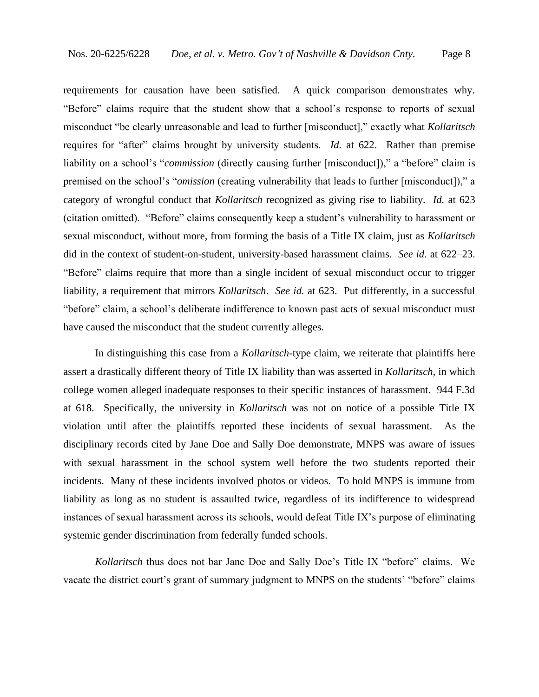requirements for causation have been satisfied. A quick comparison demonstrates why. "Before" claims require that the student show that a school's response to reports of sexual misconduct "be clearly unreasonable and lead to further [misconduct]," exactly what *Kollaritsch* requires for "after" claims brought by university students. *Id.* at 622. Rather than premise liability on a school's "*commission* (directly causing further [misconduct])," a "before" claim is premised on the school's "*omission* (creating vulnerability that leads to further [misconduct])," a category of wrongful conduct that *Kollaritsch* recognized as giving rise to liability. *Id.* at 623 (citation omitted). "Before" claims consequently keep a student's vulnerability to harassment or sexual misconduct, without more, from forming the basis of a Title IX claim, just as *Kollaritsch* did in the context of student-on-student, university-based harassment claims. *See id.* at 622–23. "Before" claims require that more than a single incident of sexual misconduct occur to trigger liability, a requirement that mirrors *Kollaritsch*. *See id.* at 623. Put differently, in a successful "before" claim, a school's deliberate indifference to known past acts of sexual misconduct must have caused the misconduct that the student currently alleges.

In distinguishing this case from a *Kollaritsch*-type claim, we reiterate that plaintiffs here assert a drastically different theory of Title IX liability than was asserted in *Kollaritsch*, in which college women alleged inadequate responses to their specific instances of harassment. 944 F.3d at 618. Specifically, the university in *Kollaritsch* was not on notice of a possible Title IX violation until after the plaintiffs reported these incidents of sexual harassment. As the disciplinary records cited by Jane Doe and Sally Doe demonstrate, MNPS was aware of issues with sexual harassment in the school system well before the two students reported their incidents. Many of these incidents involved photos or videos. To hold MNPS is immune from liability as long as no student is assaulted twice, regardless of its indifference to widespread instances of sexual harassment across its schools, would defeat Title IX's purpose of eliminating systemic gender discrimination from federally funded schools.

*Kollaritsch* thus does not bar Jane Doe and Sally Doe's Title IX "before" claims. We vacate the district court's grant of summary judgment to MNPS on the students' "before" claims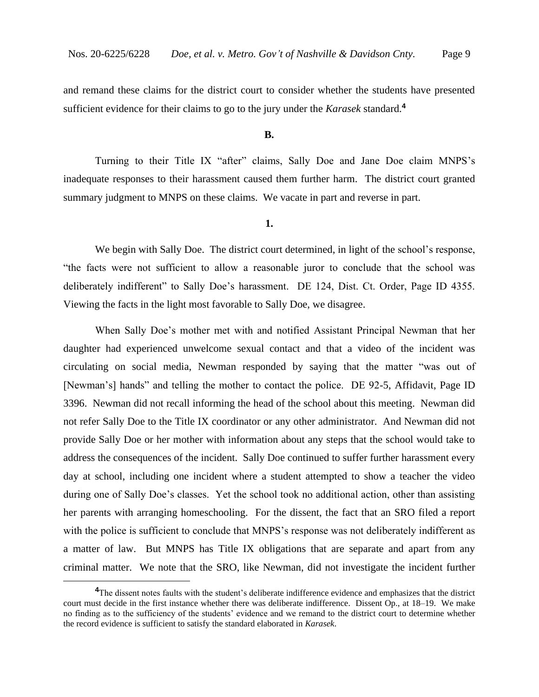and remand these claims for the district court to consider whether the students have presented sufficient evidence for their claims to go to the jury under the *Karasek* standard.**<sup>4</sup>**

#### **B.**

Turning to their Title IX "after" claims, Sally Doe and Jane Doe claim MNPS's inadequate responses to their harassment caused them further harm. The district court granted summary judgment to MNPS on these claims. We vacate in part and reverse in part.

#### **1.**

We begin with Sally Doe. The district court determined, in light of the school's response, "the facts were not sufficient to allow a reasonable juror to conclude that the school was deliberately indifferent" to Sally Doe's harassment. DE 124, Dist. Ct. Order, Page ID 4355. Viewing the facts in the light most favorable to Sally Doe, we disagree.

When Sally Doe's mother met with and notified Assistant Principal Newman that her daughter had experienced unwelcome sexual contact and that a video of the incident was circulating on social media, Newman responded by saying that the matter "was out of [Newman's] hands" and telling the mother to contact the police. DE 92-5, Affidavit, Page ID 3396. Newman did not recall informing the head of the school about this meeting. Newman did not refer Sally Doe to the Title IX coordinator or any other administrator. And Newman did not provide Sally Doe or her mother with information about any steps that the school would take to address the consequences of the incident. Sally Doe continued to suffer further harassment every day at school, including one incident where a student attempted to show a teacher the video during one of Sally Doe's classes. Yet the school took no additional action, other than assisting her parents with arranging homeschooling. For the dissent, the fact that an SRO filed a report with the police is sufficient to conclude that MNPS's response was not deliberately indifferent as a matter of law. But MNPS has Title IX obligations that are separate and apart from any criminal matter. We note that the SRO, like Newman, did not investigate the incident further

<sup>&</sup>lt;sup>4</sup>The dissent notes faults with the student's deliberate indifference evidence and emphasizes that the district court must decide in the first instance whether there was deliberate indifference. Dissent Op., at 18–19. We make no finding as to the sufficiency of the students' evidence and we remand to the district court to determine whether the record evidence is sufficient to satisfy the standard elaborated in *Karasek*.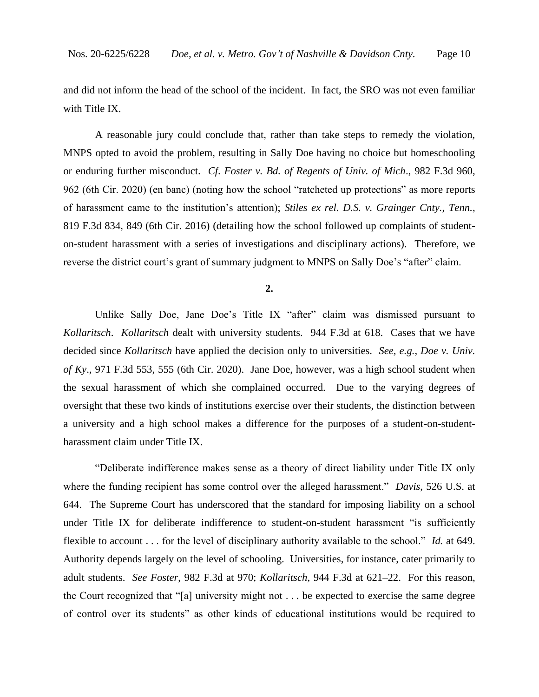and did not inform the head of the school of the incident. In fact, the SRO was not even familiar with Title IX.

A reasonable jury could conclude that, rather than take steps to remedy the violation, MNPS opted to avoid the problem, resulting in Sally Doe having no choice but homeschooling or enduring further misconduct. *Cf*. *Foster v. Bd. of Regents of Univ. of Mich*., 982 F.3d 960, 962 (6th Cir. 2020) (en banc) (noting how the school "ratcheted up protections" as more reports of harassment came to the institution's attention); *Stiles ex rel. D.S. v. Grainger Cnty., Tenn.*, 819 F.3d 834, 849 (6th Cir. 2016) (detailing how the school followed up complaints of studenton-student harassment with a series of investigations and disciplinary actions). Therefore, we reverse the district court's grant of summary judgment to MNPS on Sally Doe's "after" claim.

**2.**

Unlike Sally Doe, Jane Doe's Title IX "after" claim was dismissed pursuant to *Kollaritsch*. *Kollaritsch* dealt with university students. 944 F.3d at 618. Cases that we have decided since *Kollaritsch* have applied the decision only to universities. *See, e.g.*, *Doe v. Univ. of Ky*., 971 F.3d 553, 555 (6th Cir. 2020).Jane Doe, however, was a high school student when the sexual harassment of which she complained occurred. Due to the varying degrees of oversight that these two kinds of institutions exercise over their students, the distinction between a university and a high school makes a difference for the purposes of a student-on-studentharassment claim under Title IX.

"Deliberate indifference makes sense as a theory of direct liability under Title IX only where the funding recipient has some control over the alleged harassment." *Davis*, 526 U.S. at 644. The Supreme Court has underscored that the standard for imposing liability on a school under Title IX for deliberate indifference to student-on-student harassment "is sufficiently flexible to account . . . for the level of disciplinary authority available to the school." *Id.* at 649. Authority depends largely on the level of schooling. Universities, for instance, cater primarily to adult students. *See Foster*, 982 F.3d at 970; *Kollaritsch*, 944 F.3d at 621–22. For this reason, the Court recognized that "[a] university might not . . . be expected to exercise the same degree of control over its students" as other kinds of educational institutions would be required to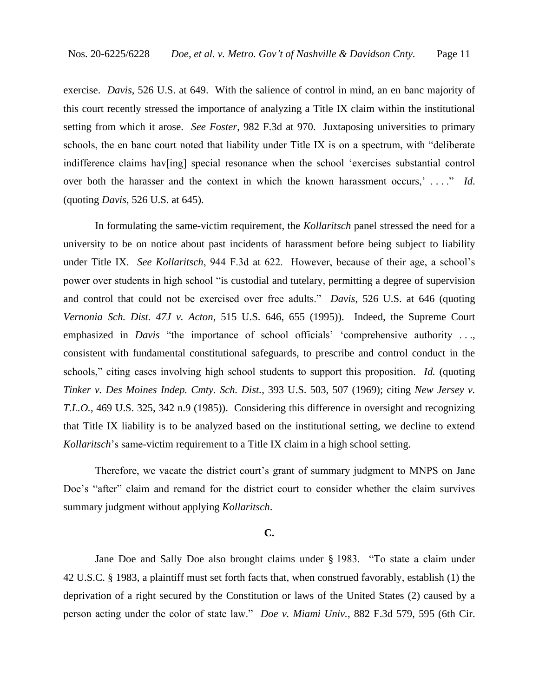exercise. *Davis*, 526 U.S. at 649. With the salience of control in mind, an en banc majority of this court recently stressed the importance of analyzing a Title IX claim within the institutional setting from which it arose. *See Foster*, 982 F.3d at 970. Juxtaposing universities to primary schools, the en banc court noted that liability under Title IX is on a spectrum, with "deliberate indifference claims hav[ing] special resonance when the school 'exercises substantial control over both the harasser and the context in which the known harassment occurs,' ...." *Id*. (quoting *Davis*, 526 U.S. at 645).

In formulating the same-victim requirement, the *Kollaritsch* panel stressed the need for a university to be on notice about past incidents of harassment before being subject to liability under Title IX. *See Kollaritsch*, 944 F.3d at 622. However, because of their age, a school's power over students in high school "is custodial and tutelary, permitting a degree of supervision and control that could not be exercised over free adults." *Davis*, 526 U.S. at 646 (quoting *Vernonia Sch. Dist. 47J v. Acton*, 515 U.S. 646, 655 (1995)). Indeed, the Supreme Court emphasized in *Davis* "the importance of school officials' 'comprehensive authority ..., consistent with fundamental constitutional safeguards, to prescribe and control conduct in the schools," citing cases involving high school students to support this proposition. *Id.* (quoting *Tinker v. Des Moines Indep. Cmty. Sch. Dist.*, 393 U.S. 503, 507 (1969); citing *New Jersey v. T.L.O.*, 469 U.S. 325, 342 n.9 (1985)). Considering this difference in oversight and recognizing that Title IX liability is to be analyzed based on the institutional setting, we decline to extend *Kollaritsch*'s same-victim requirement to a Title IX claim in a high school setting.

Therefore, we vacate the district court's grant of summary judgment to MNPS on Jane Doe's "after" claim and remand for the district court to consider whether the claim survives summary judgment without applying *Kollaritsch*.

### **C.**

Jane Doe and Sally Doe also brought claims under § 1983. "To state a claim under 42 U.S.C. § 1983, a plaintiff must set forth facts that, when construed favorably, establish (1) the deprivation of a right secured by the Constitution or laws of the United States (2) caused by a person acting under the color of state law." *Doe v. Miami Univ.*, 882 F.3d 579, 595 (6th Cir.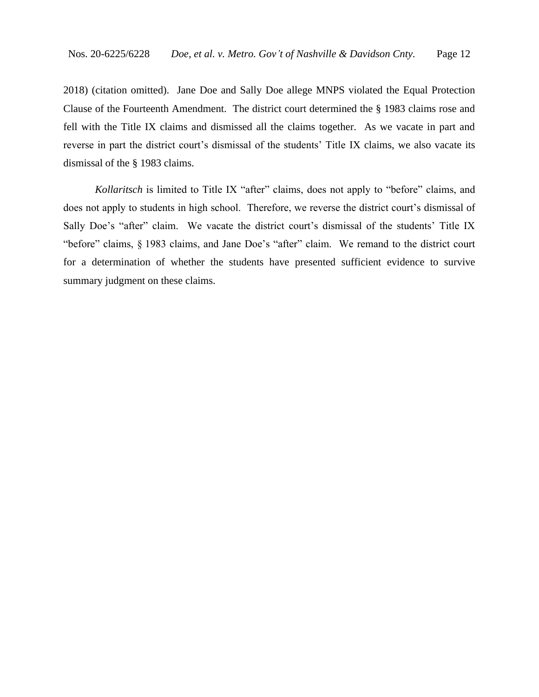2018) (citation omitted). Jane Doe and Sally Doe allege MNPS violated the Equal Protection Clause of the Fourteenth Amendment. The district court determined the § 1983 claims rose and fell with the Title IX claims and dismissed all the claims together. As we vacate in part and reverse in part the district court's dismissal of the students' Title IX claims, we also vacate its dismissal of the § 1983 claims.

*Kollaritsch* is limited to Title IX "after" claims, does not apply to "before" claims, and does not apply to students in high school. Therefore, we reverse the district court's dismissal of Sally Doe's "after" claim. We vacate the district court's dismissal of the students' Title IX "before" claims, § 1983 claims, and Jane Doe's "after" claim. We remand to the district court for a determination of whether the students have presented sufficient evidence to survive summary judgment on these claims.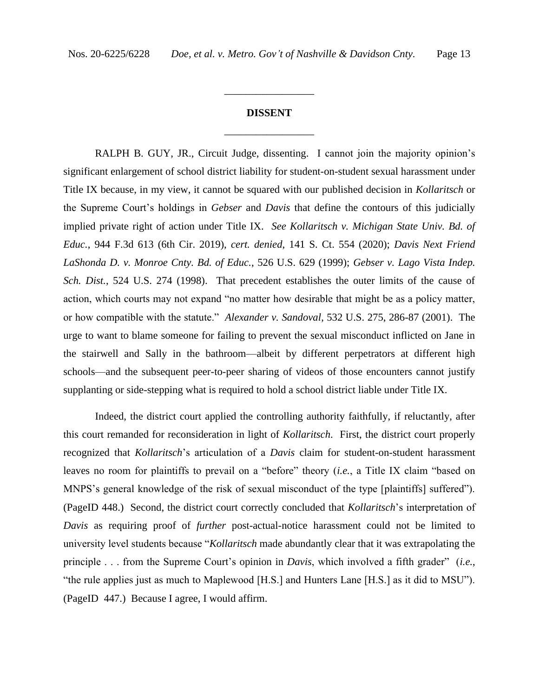# **DISSENT** \_\_\_\_\_\_\_\_\_\_\_\_\_\_\_\_\_

\_\_\_\_\_\_\_\_\_\_\_\_\_\_\_\_\_

RALPH B. GUY, JR., Circuit Judge, dissenting. I cannot join the majority opinion's significant enlargement of school district liability for student-on-student sexual harassment under Title IX because, in my view, it cannot be squared with our published decision in *Kollaritsch* or the Supreme Court's holdings in *Gebser* and *Davis* that define the contours of this judicially implied private right of action under Title IX. *See Kollaritsch v. Michigan State Univ. Bd. of Educ.*, 944 F.3d 613 (6th Cir. 2019), *cert. denied*, 141 S. Ct. 554 (2020); *Davis Next Friend LaShonda D. v. Monroe Cnty. Bd. of Educ.*, 526 U.S. 629 (1999); *Gebser v. Lago Vista Indep. Sch. Dist.*, 524 U.S. 274 (1998). That precedent establishes the outer limits of the cause of action, which courts may not expand "no matter how desirable that might be as a policy matter, or how compatible with the statute." *Alexander v. Sandoval*, 532 U.S. 275, 286-87 (2001). The urge to want to blame someone for failing to prevent the sexual misconduct inflicted on Jane in the stairwell and Sally in the bathroom—albeit by different perpetrators at different high schools—and the subsequent peer-to-peer sharing of videos of those encounters cannot justify supplanting or side-stepping what is required to hold a school district liable under Title IX.

Indeed, the district court applied the controlling authority faithfully, if reluctantly, after this court remanded for reconsideration in light of *Kollaritsch*. First, the district court properly recognized that *Kollaritsch*'s articulation of a *Davis* claim for student-on-student harassment leaves no room for plaintiffs to prevail on a "before" theory (*i.e.*, a Title IX claim "based on MNPS's general knowledge of the risk of sexual misconduct of the type [plaintiffs] suffered"). (PageID 448.) Second, the district court correctly concluded that *Kollaritsch*'s interpretation of *Davis* as requiring proof of *further* post-actual-notice harassment could not be limited to university level students because "*Kollaritsch* made abundantly clear that it was extrapolating the principle . . . from the Supreme Court's opinion in *Davis*, which involved a fifth grader" (*i.e.*, "the rule applies just as much to Maplewood [H.S.] and Hunters Lane [H.S.] as it did to MSU"). (PageID 447.) Because I agree, I would affirm.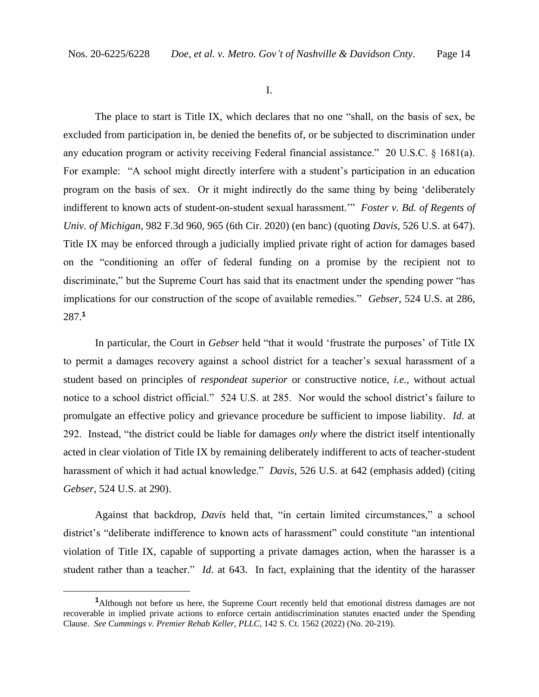I.

The place to start is Title IX, which declares that no one "shall, on the basis of sex, be excluded from participation in, be denied the benefits of, or be subjected to discrimination under any education program or activity receiving Federal financial assistance." 20 U.S.C. § 1681(a). For example: "A school might directly interfere with a student's participation in an education program on the basis of sex. Or it might indirectly do the same thing by being 'deliberately indifferent to known acts of student-on-student sexual harassment.'" *Foster v. Bd. of Regents of Univ. of Michigan*, 982 F.3d 960, 965 (6th Cir. 2020) (en banc) (quoting *Davis*, 526 U.S. at 647). Title IX may be enforced through a judicially implied private right of action for damages based on the "conditioning an offer of federal funding on a promise by the recipient not to discriminate," but the Supreme Court has said that its enactment under the spending power "has implications for our construction of the scope of available remedies." *Gebser*, 524 U.S. at 286, 287.**<sup>1</sup>**

In particular, the Court in *Gebser* held "that it would 'frustrate the purposes' of Title IX to permit a damages recovery against a school district for a teacher's sexual harassment of a student based on principles of *respondeat superior* or constructive notice, *i.e.*, without actual notice to a school district official." 524 U.S. at 285. Nor would the school district's failure to promulgate an effective policy and grievance procedure be sufficient to impose liability. *Id*. at 292. Instead, "the district could be liable for damages *only* where the district itself intentionally acted in clear violation of Title IX by remaining deliberately indifferent to acts of teacher-student harassment of which it had actual knowledge." *Davis*, 526 U.S. at 642 (emphasis added) (citing *Gebser*, 524 U.S. at 290).

Against that backdrop, *Davis* held that, "in certain limited circumstances," a school district's "deliberate indifference to known acts of harassment" could constitute "an intentional violation of Title IX, capable of supporting a private damages action, when the harasser is a student rather than a teacher." *Id*. at 643. In fact, explaining that the identity of the harasser

**<sup>1</sup>**Although not before us here, the Supreme Court recently held that emotional distress damages are not recoverable in implied private actions to enforce certain antidiscrimination statutes enacted under the Spending Clause. *See Cummings v. Premier Rehab Keller, PLLC*, 142 S. Ct. 1562 (2022) (No. 20-219).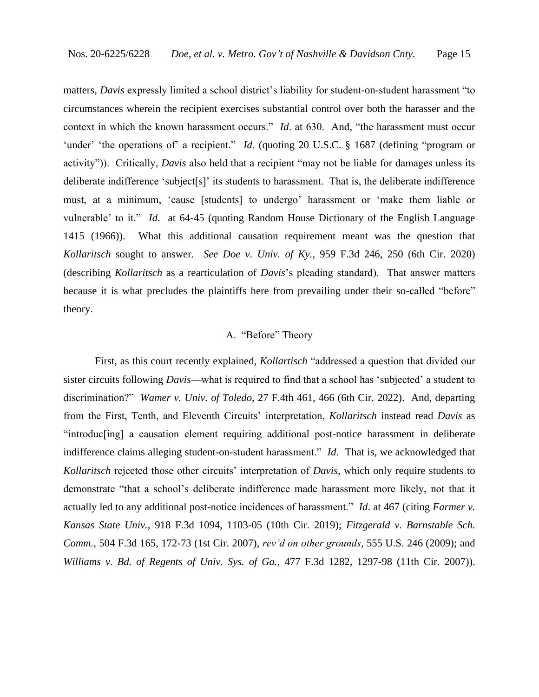matters, *Davis* expressly limited a school district's liability for student-on-student harassment "to circumstances wherein the recipient exercises substantial control over both the harasser and the context in which the known harassment occurs." *Id*. at 630. And, "the harassment must occur 'under' 'the operations of' a recipient." *Id*. (quoting 20 U.S.C. § 1687 (defining "program or activity")). Critically, *Davis* also held that a recipient "may not be liable for damages unless its deliberate indifference 'subject[s]' its students to harassment. That is, the deliberate indifference must, at a minimum, 'cause [students] to undergo' harassment or 'make them liable or vulnerable' to it." *Id*. at 64-45 (quoting Random House Dictionary of the English Language 1415 (1966)). What this additional causation requirement meant was the question that *Kollaritsch* sought to answer. *See Doe v. Univ. of Ky.*, 959 F.3d 246, 250 (6th Cir. 2020) (describing *Kollaritsch* as a rearticulation of *Davis*'s pleading standard). That answer matters because it is what precludes the plaintiffs here from prevailing under their so-called "before" theory.

## A. "Before" Theory

First, as this court recently explained, *Kollartisch* "addressed a question that divided our sister circuits following *Davis*—what is required to find that a school has 'subjected' a student to discrimination?" *Wamer v. Univ. of Toledo*, 27 F.4th 461, 466 (6th Cir. 2022). And, departing from the First, Tenth, and Eleventh Circuits' interpretation, *Kollaritsch* instead read *Davis* as "introduc[ing] a causation element requiring additional post-notice harassment in deliberate indifference claims alleging student-on-student harassment." *Id*. That is, we acknowledged that *Kollaritsch* rejected those other circuits' interpretation of *Davis*, which only require students to demonstrate "that a school's deliberate indifference made harassment more likely, not that it actually led to any additional post-notice incidences of harassment." *Id*. at 467 (citing *Farmer v. Kansas State Univ.*, 918 F.3d 1094, 1103-05 (10th Cir. 2019); *Fitzgerald v. Barnstable Sch. Comm.*, 504 F.3d 165, 172-73 (1st Cir. 2007), *rev'd on other grounds*, 555 U.S. 246 (2009); and *Williams v. Bd. of Regents of Univ. Sys. of Ga.*, 477 F.3d 1282, 1297-98 (11th Cir. 2007)).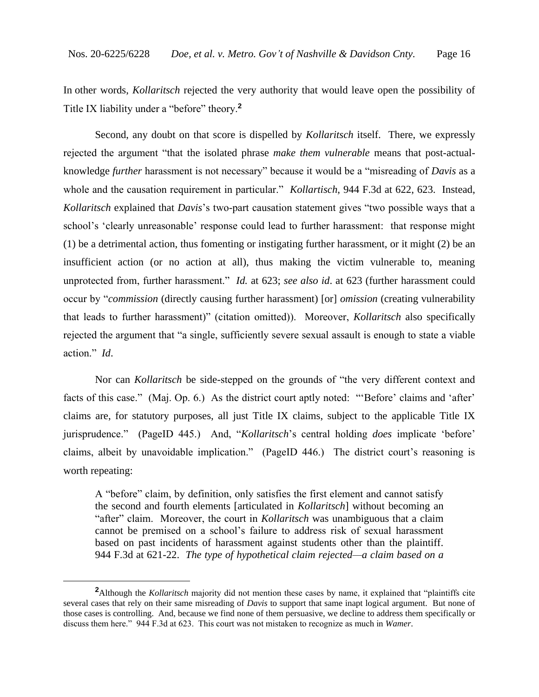In other words, *Kollaritsch* rejected the very authority that would leave open the possibility of Title IX liability under a "before" theory.**<sup>2</sup>**

Second, any doubt on that score is dispelled by *Kollaritsch* itself. There, we expressly rejected the argument "that the isolated phrase *make them vulnerable* means that post-actualknowledge *further* harassment is not necessary" because it would be a "misreading of *Davis* as a whole and the causation requirement in particular." *Kollartisch*, 944 F.3d at 622, 623. Instead, *Kollaritsch* explained that *Davis*'s two-part causation statement gives "two possible ways that a school's 'clearly unreasonable' response could lead to further harassment: that response might (1) be a detrimental action, thus fomenting or instigating further harassment, or it might (2) be an insufficient action (or no action at all), thus making the victim vulnerable to, meaning unprotected from, further harassment." *Id.* at 623; *see also id*. at 623 (further harassment could occur by "*commission* (directly causing further harassment) [or] *omission* (creating vulnerability that leads to further harassment)" (citation omitted)). Moreover, *Kollaritsch* also specifically rejected the argument that "a single, sufficiently severe sexual assault is enough to state a viable action." *Id*.

Nor can *Kollaritsch* be side-stepped on the grounds of "the very different context and facts of this case." (Maj. Op. 6.) As the district court aptly noted: "'Before' claims and 'after' claims are, for statutory purposes, all just Title IX claims, subject to the applicable Title IX jurisprudence." (PageID 445.) And, "*Kollaritsch*'s central holding *does* implicate 'before' claims, albeit by unavoidable implication." (PageID 446.) The district court's reasoning is worth repeating:

A "before" claim, by definition, only satisfies the first element and cannot satisfy the second and fourth elements [articulated in *Kollaritsch*] without becoming an "after" claim. Moreover, the court in *Kollaritsch* was unambiguous that a claim cannot be premised on a school's failure to address risk of sexual harassment based on past incidents of harassment against students other than the plaintiff. 944 F.3d at 621-22. *The type of hypothetical claim rejected—a claim based on a* 

**<sup>2</sup>**Although the *Kollaritsch* majority did not mention these cases by name, it explained that "plaintiffs cite several cases that rely on their same misreading of *Davis* to support that same inapt logical argument. But none of those cases is controlling. And, because we find none of them persuasive, we decline to address them specifically or discuss them here." 944 F.3d at 623. This court was not mistaken to recognize as much in *Wamer*.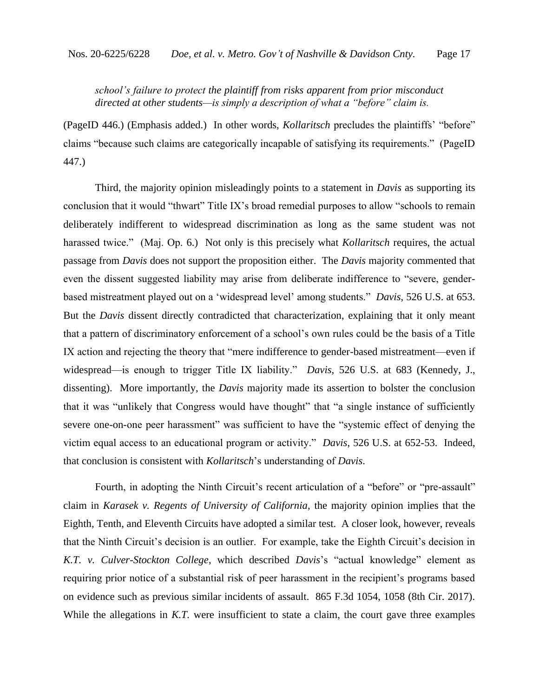# *school's failure to protect the plaintiff from risks apparent from prior misconduct directed at other students—is simply a description of what a "before" claim is.*

(PageID 446.) (Emphasis added.) In other words, *Kollaritsch* precludes the plaintiffs' "before" claims "because such claims are categorically incapable of satisfying its requirements." (PageID 447.)

Third, the majority opinion misleadingly points to a statement in *Davis* as supporting its conclusion that it would "thwart" Title IX's broad remedial purposes to allow "schools to remain deliberately indifferent to widespread discrimination as long as the same student was not harassed twice." (Maj. Op. 6.) Not only is this precisely what *Kollaritsch* requires, the actual passage from *Davis* does not support the proposition either. The *Davis* majority commented that even the dissent suggested liability may arise from deliberate indifference to "severe, genderbased mistreatment played out on a 'widespread level' among students." *Davis*, 526 U.S. at 653. But the *Davis* dissent directly contradicted that characterization, explaining that it only meant that a pattern of discriminatory enforcement of a school's own rules could be the basis of a Title IX action and rejecting the theory that "mere indifference to gender-based mistreatment—even if widespread—is enough to trigger Title IX liability." *Davis*, 526 U.S. at 683 (Kennedy, J., dissenting). More importantly, the *Davis* majority made its assertion to bolster the conclusion that it was "unlikely that Congress would have thought" that "a single instance of sufficiently severe one-on-one peer harassment" was sufficient to have the "systemic effect of denying the victim equal access to an educational program or activity." *Davis*, 526 U.S. at 652-53. Indeed, that conclusion is consistent with *Kollaritsch*'s understanding of *Davis*.

Fourth, in adopting the Ninth Circuit's recent articulation of a "before" or "pre-assault" claim in *Karasek v. Regents of University of California*, the majority opinion implies that the Eighth, Tenth, and Eleventh Circuits have adopted a similar test. A closer look, however, reveals that the Ninth Circuit's decision is an outlier. For example, take the Eighth Circuit's decision in *K.T. v. Culver-Stockton College*, which described *Davis*'s "actual knowledge" element as requiring prior notice of a substantial risk of peer harassment in the recipient's programs based on evidence such as previous similar incidents of assault. 865 F.3d 1054, 1058 (8th Cir. 2017). While the allegations in *K.T.* were insufficient to state a claim, the court gave three examples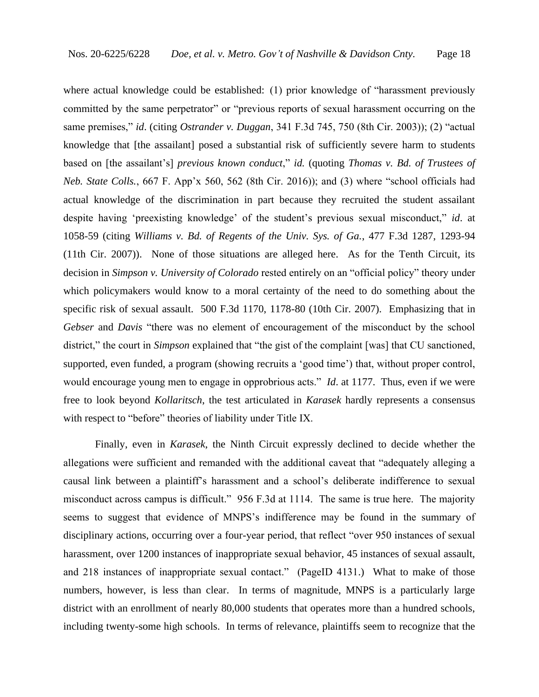where actual knowledge could be established: (1) prior knowledge of "harassment previously committed by the same perpetrator" or "previous reports of sexual harassment occurring on the same premises," *id*. (citing *Ostrander v. Duggan*, 341 F.3d 745, 750 (8th Cir. 2003)); (2) "actual knowledge that [the assailant] posed a substantial risk of sufficiently severe harm to students based on [the assailant's] *previous known conduct*," *id.* (quoting *Thomas v. Bd. of Trustees of Neb. State Colls.*, 667 F. App'x 560, 562 (8th Cir. 2016)); and (3) where "school officials had actual knowledge of the discrimination in part because they recruited the student assailant despite having 'preexisting knowledge' of the student's previous sexual misconduct," *id*. at 1058-59 (citing *Williams v. Bd. of Regents of the Univ. Sys. of Ga.*, 477 F.3d 1287, 1293-94 (11th Cir. 2007)). None of those situations are alleged here. As for the Tenth Circuit, its decision in *Simpson v. University of Colorado* rested entirely on an "official policy" theory under which policymakers would know to a moral certainty of the need to do something about the specific risk of sexual assault. 500 F.3d 1170, 1178-80 (10th Cir. 2007). Emphasizing that in *Gebser* and *Davis* "there was no element of encouragement of the misconduct by the school district," the court in *Simpson* explained that "the gist of the complaint [was] that CU sanctioned, supported, even funded, a program (showing recruits a 'good time') that, without proper control, would encourage young men to engage in opprobrious acts." *Id*. at 1177. Thus, even if we were free to look beyond *Kollaritsch*, the test articulated in *Karasek* hardly represents a consensus with respect to "before" theories of liability under Title IX.

Finally, even in *Karasek*, the Ninth Circuit expressly declined to decide whether the allegations were sufficient and remanded with the additional caveat that "adequately alleging a causal link between a plaintiff's harassment and a school's deliberate indifference to sexual misconduct across campus is difficult." 956 F.3d at 1114. The same is true here. The majority seems to suggest that evidence of MNPS's indifference may be found in the summary of disciplinary actions, occurring over a four-year period, that reflect "over 950 instances of sexual harassment, over 1200 instances of inappropriate sexual behavior, 45 instances of sexual assault, and 218 instances of inappropriate sexual contact." (PageID 4131.) What to make of those numbers, however, is less than clear. In terms of magnitude, MNPS is a particularly large district with an enrollment of nearly 80,000 students that operates more than a hundred schools, including twenty-some high schools. In terms of relevance, plaintiffs seem to recognize that the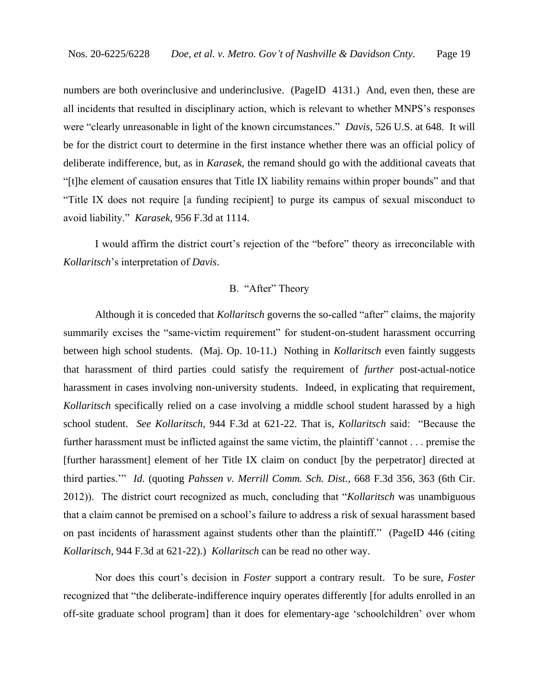numbers are both overinclusive and underinclusive. (PageID 4131.) And, even then, these are all incidents that resulted in disciplinary action, which is relevant to whether MNPS's responses were "clearly unreasonable in light of the known circumstances." *Davis*, 526 U.S. at 648. It will be for the district court to determine in the first instance whether there was an official policy of deliberate indifference, but, as in *Karasek*, the remand should go with the additional caveats that "[t]he element of causation ensures that Title IX liability remains within proper bounds" and that "Title IX does not require [a funding recipient] to purge its campus of sexual misconduct to avoid liability." *Karasek*, 956 F.3d at 1114.

I would affirm the district court's rejection of the "before" theory as irreconcilable with *Kollaritsch*'s interpretation of *Davis*.

# B. "After" Theory

Although it is conceded that *Kollaritsch* governs the so-called "after" claims, the majority summarily excises the "same-victim requirement" for student-on-student harassment occurring between high school students. (Maj. Op. 10-11.) Nothing in *Kollaritsch* even faintly suggests that harassment of third parties could satisfy the requirement of *further* post-actual-notice harassment in cases involving non-university students. Indeed, in explicating that requirement, *Kollaritsch* specifically relied on a case involving a middle school student harassed by a high school student. *See Kollaritsch*, 944 F.3d at 621-22. That is, *Kollaritsch* said: "Because the further harassment must be inflicted against the same victim, the plaintiff 'cannot . . . premise the [further harassment] element of her Title IX claim on conduct [by the perpetrator] directed at third parties.'" *Id*. (quoting *Pahssen v. Merrill Comm. Sch. Dist.*, 668 F.3d 356, 363 (6th Cir. 2012)). The district court recognized as much, concluding that "*Kollaritsch* was unambiguous that a claim cannot be premised on a school's failure to address a risk of sexual harassment based on past incidents of harassment against students other than the plaintiff." (PageID 446 (citing *Kollaritsch*, 944 F.3d at 621-22).) *Kollaritsch* can be read no other way.

Nor does this court's decision in *Foster* support a contrary result. To be sure, *Foster*  recognized that "the deliberate-indifference inquiry operates differently [for adults enrolled in an off-site graduate school program] than it does for elementary-age 'schoolchildren' over whom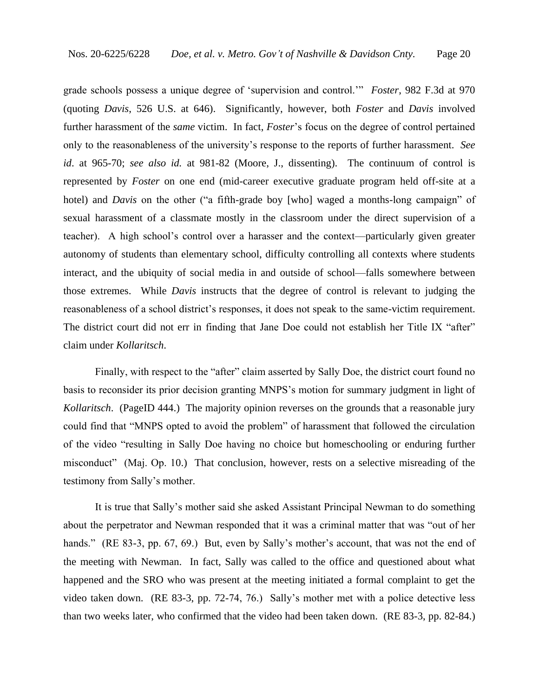grade schools possess a unique degree of 'supervision and control.'" *Foster*, 982 F.3d at 970 (quoting *Davis*, 526 U.S. at 646). Significantly, however, both *Foster* and *Davis* involved further harassment of the *same* victim. In fact, *Foster*'s focus on the degree of control pertained only to the reasonableness of the university's response to the reports of further harassment. *See id*. at 965-70; *see also id.* at 981-82 (Moore, J., dissenting). The continuum of control is represented by *Foster* on one end (mid-career executive graduate program held off-site at a hotel) and *Davis* on the other ("a fifth-grade boy [who] waged a months-long campaign" of sexual harassment of a classmate mostly in the classroom under the direct supervision of a teacher). A high school's control over a harasser and the context—particularly given greater autonomy of students than elementary school, difficulty controlling all contexts where students interact, and the ubiquity of social media in and outside of school—falls somewhere between those extremes. While *Davis* instructs that the degree of control is relevant to judging the reasonableness of a school district's responses, it does not speak to the same-victim requirement. The district court did not err in finding that Jane Doe could not establish her Title IX "after" claim under *Kollaritsch*.

Finally, with respect to the "after" claim asserted by Sally Doe, the district court found no basis to reconsider its prior decision granting MNPS's motion for summary judgment in light of *Kollaritsch*. (PageID 444.) The majority opinion reverses on the grounds that a reasonable jury could find that "MNPS opted to avoid the problem" of harassment that followed the circulation of the video "resulting in Sally Doe having no choice but homeschooling or enduring further misconduct" (Maj. Op. 10.) That conclusion, however, rests on a selective misreading of the testimony from Sally's mother.

It is true that Sally's mother said she asked Assistant Principal Newman to do something about the perpetrator and Newman responded that it was a criminal matter that was "out of her hands." (RE 83-3, pp. 67, 69.) But, even by Sally's mother's account, that was not the end of the meeting with Newman. In fact, Sally was called to the office and questioned about what happened and the SRO who was present at the meeting initiated a formal complaint to get the video taken down. (RE 83-3, pp. 72-74, 76.) Sally's mother met with a police detective less than two weeks later, who confirmed that the video had been taken down. (RE 83-3, pp. 82-84.)